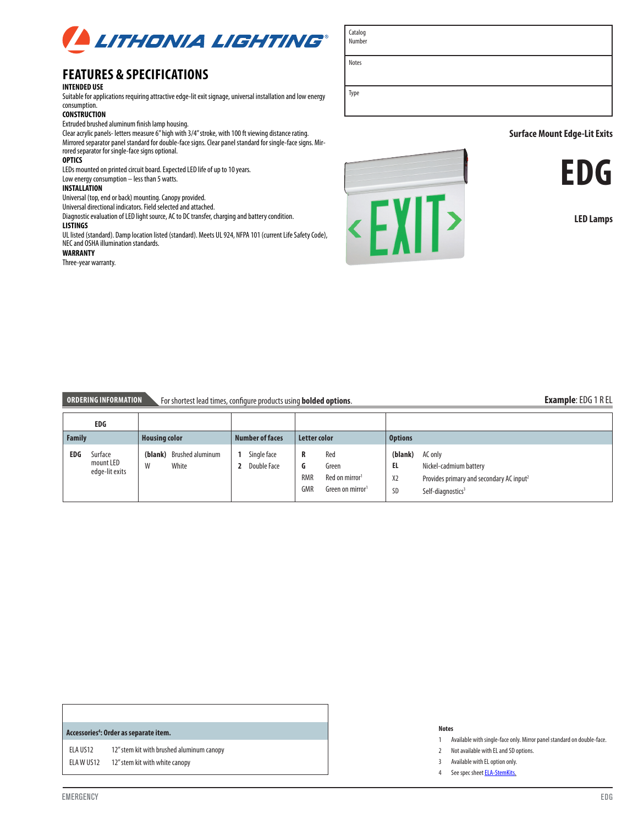

# **FEATURES & SPECIFICATIONS**

# **INTENDED USE**

Suitable for applications requiring attractive edge-lit exit signage, universal installation and low energy consumption.

### **CONSTRUCTION**

Extruded brushed aluminum finish lamp housing.

Clear acrylic panels- letters measure 6" high with 3/4" stroke, with 100 ft viewing distance rating. Mirrored separator panel standard for double-face signs. Clear panel standard for single-face signs. Mirrored separator for single-face signs optional.

### **OPTICS**

LEDs mounted on printed circuit board. Expected LED life of up to 10 years. Low energy consumption – less than 5 watts.

# **INSTA LLATION**

Universal (top, end or back) mounting. Canopy provided.

Universal directional indicators. Field selected and attached.

Diagnostic evaluation of LED light source, AC to DC transfer, charging and battery condition.

#### **LISTINGS**

UL listed (standard). Damp location listed (standard). Meets UL 924, NFPA 101 (current Life Safety Code), NEC and OSHA illumination standards.

### **WARRANTY**

Three-year warranty.





## **Surface Mount Edge-Lit Exits**



**LED Lamps**

# **ORDERING INFORMATION** For shortest lead times, configure products using **bolded options**. **Example**: EDG 1 R EL

#### **EDG Family Housing color Number of faces Letter color Options EDG** Surface mount LED edge-lit exits **(blank)** Brushed aluminum W White **1** Single face **2** Double Face **R** Red **G** Green RMR Red on mirror<sup>1</sup> GMR Green on mirror1 **(blank)** AC only **EL** Nickel-cadmium battery X2 Provides primary and secondary AC input<sup>2</sup> SD Self-diagnostics<sup>3</sup>

### **Accessories4 : Order as separate item.**

ELA US12 12" stem kit with brushed aluminum canopy ELA W US12 12" stem kit with white canopy

#### **Notes**

- 1 Available with single-face only. Mirror panel standard on double-face.
- 2 Not available with EL and SD options.
- 3 Available with EL option only.
- 4 See spec sheet **ELA-StemKits**.